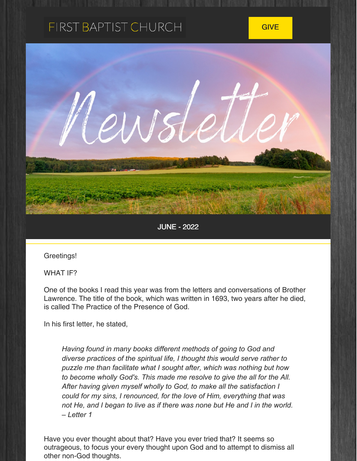# FIRST BAPTIST CHURCH



JUNE - 2022

Greetings!

WHAT IF?

One of the books I read this year was from the letters and conversations of Brother Lawrence. The title of the book, which was written in 1693, two years after he died, is called The Practice of the Presence of God.

In his first letter, he stated,

*Having found in many books different methods of going to God and diverse practices of the spiritual life, I thought this would serve rather to puzzle me than facilitate what I sought after, which was nothing but how to become wholly God's. This made me resolve to give the all for the All. After having given myself wholly to God, to make all the satisfaction I could for my sins, I renounced, for the love of Him, everything that was not He, and I began to live as if there was none but He and I in the world. – Letter 1*

Have you ever thought about that? Have you ever tried that? It seems so outrageous, to focus your every thought upon God and to attempt to dismiss all other non-God thoughts.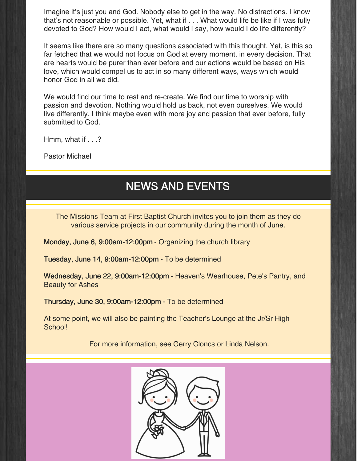Imagine it's just you and God. Nobody else to get in the way. No distractions. I know that's not reasonable or possible. Yet, what if . . . What would life be like if I was fully devoted to God? How would I act, what would I say, how would I do life differently?

It seems like there are so many questions associated with this thought. Yet, is this so far fetched that we would not focus on God at every moment, in every decision. That are hearts would be purer than ever before and our actions would be based on His love, which would compel us to act in so many different ways, ways which would honor God in all we did.

We would find our time to rest and re-create. We find our time to worship with passion and devotion. Nothing would hold us back, not even ourselves. We would live differently. I think maybe even with more joy and passion that ever before, fully submitted to God.

Hmm, what if . . .?

Pastor Michael

### NEWS AND EVENTS

The Missions Team at First Baptist Church invites you to join them as they do various service projects in our community during the month of June.

Monday, June 6, 9:00am-12:00pm - Organizing the church library

Tuesday, June 14, 9:00am-12:00pm - To be determined

Wednesday, June 22, 9:00am-12:00pm - Heaven's Wearhouse, Pete's Pantry, and Beauty for Ashes

Thursday, June 30, 9:00am-12:00pm - To be determined

At some point, we will also be painting the Teacher's Lounge at the Jr/Sr High School!

For more information, see Gerry Cloncs or Linda Nelson.

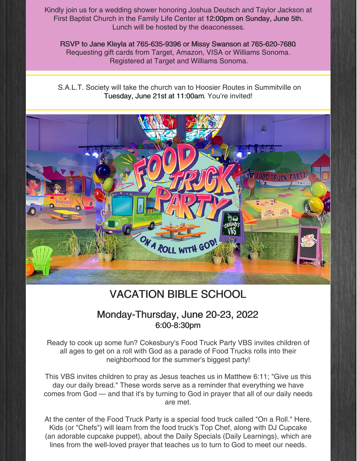Kindly join us for a wedding shower honoring Joshua Deutsch and Taylor Jackson at First Baptist Church in the Family Life Center at 12:00pm on Sunday, June 5th. Lunch will be hosted by the deaconesses.

RSVP to Jane Kleyla at 765-635-9396 or Missy Swanson at 765-620-7680. Requesting gift cards from Target, Amazon, VISA or Williams Sonoma. Registered at Target and Williams Sonoma.

S.A.L.T. Society will take the church van to Hoosier Routes in Summitville on Tuesday, June 21st at 11:00am. You're invited!



## VACATION BIBLE SCHOOL

#### Monday-Thursday, June 20-23, 2022 6:00-8:30pm

Ready to cook up some fun? Cokesbury's Food Truck Party VBS invites children of all ages to get on a roll with God as a parade of Food Trucks rolls into their neighborhood for the summer's biggest party!

This VBS invites children to pray as Jesus teaches us in Matthew 6:11; "Give us this day our daily bread." These words serve as a reminder that everything we have comes from God — and that it's by turning to God in prayer that all of our daily needs are met.

At the center of the Food Truck Party is a special food truck called "On a Roll." Here, Kids (or "Chefs") will learn from the food truck's Top Chef, along with DJ Cupcake (an adorable cupcake puppet), about the Daily Specials (Daily Learnings), which are lines from the well-loved prayer that teaches us to turn to God to meet our needs.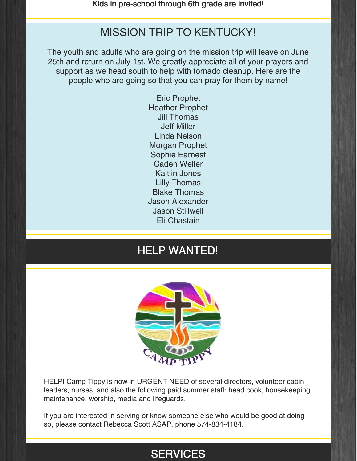Kids in pre-school through 6th grade are invited!

#### MISSION TRIP TO KENTUCKY!

The youth and adults who are going on the mission trip will leave on June 25th and return on July 1st. We greatly appreciate all of your prayers and support as we head south to help with tornado cleanup. Here are the people who are going so that you can pray for them by name!

> Eric Prophet Heather Prophet Jill Thomas Jeff Miller Linda Nelson Morgan Prophet Sophie Earnest Caden Weller Kaitlin Jones Lilly Thomas Blake Thomas Jason Alexander Jason Stillwell Eli Chastain

#### HELP WANTED!



HELP! Camp Tippy is now in URGENT NEED of several directors, volunteer cabin leaders, nurses, and also the following paid summer staff: head cook, housekeeping, maintenance, worship, media and lifeguards.

If you are interested in serving or know someone else who would be good at doing so, please contact Rebecca Scott ASAP, phone 574-834-4184.

### **SERVICES**